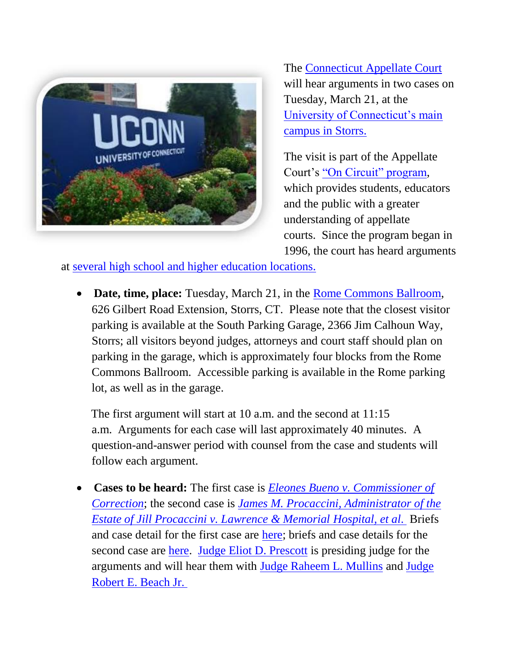

The [Connecticut Appellate Court](http://www.jud.ct.gov/appellatecourt/default.htm) will hear arguments in two cases on Tuesday, March 21, at the [University of Connecticut's main](http://uconn.edu/)  [campus in Storrs.](http://uconn.edu/)

The visit is part of the Appellate Court's ["On Circuit" program,](http://www.jud.ct.gov/external/supapp/Circuit/app/default.htm) which provides students, educators and the public with a greater understanding of appellate courts. Since the program began in 1996, the court has heard arguments

at [several high school and higher education locations.](http://www.jud.ct.gov/external/supapp/Circuit/app/app_dates.htm)

• **Date, time, place:** Tuesday, March 21, in the [Rome Commons Ballroom,](https://www.google.com/maps/dir/41.743111,-72.7038047/Rome+Commons+Ballroom,+Storrs,+CT+06269/@41.8023053,-72.7579887,10z/data=!3m1!4b1!4m10!4m9!1m1!4e1!1m5!1m1!1s0x89e68a3d325f43a9:0xbe3ba602e52ac957!2m2!1d-72.2484112!2d41.8037262!3e0) 626 Gilbert Road Extension, Storrs, CT. Please note that the closest visitor parking is available at the South Parking Garage, 2366 Jim Calhoun Way, Storrs; all visitors beyond judges, attorneys and court staff should plan on parking in the garage, which is approximately four blocks from the Rome Commons Ballroom. Accessible parking is available in the Rome parking lot, as well as in the garage.

 The first argument will start at 10 a.m. and the second at 11:15 a.m. Arguments for each case will last approximately 40 minutes. A question-and-answer period with counsel from the case and students will follow each argument.

 **Cases to be heard:** The first case is *[Eleones Bueno v. Commissioner of](http://www.jud.ct.gov/external/news/BuenovsCommissioner.pdf)  [Correction](http://www.jud.ct.gov/external/news/BuenovsCommissioner.pdf)*; the second case is *[James M. Procaccini, Administrator of the](http://www.jud.ct.gov/external/news/Procaccini.pdf)  [Estate of Jill Procaccini v. Lawrence & Memorial Hospital, et al](http://www.jud.ct.gov/external/news/Procaccini.pdf)*. Briefs and case detail for the first case are [here;](http://appellateinquiry.jud.ct.gov/CaseDetail.aspx?CRN=52938&Type=PartyName) briefs and case details for the second case are [here.](http://appellateinquiry.jud.ct.gov/CaseDetail.aspx?CRN=52487&Type=PartyName) [Judge Eliot D. Prescott](http://www.jud.ct.gov/external/supapp/appJudge_Prescott.htm) is presiding judge for the arguments and will hear them with [Judge Raheem L. Mullins](https://www.jud.ct.gov/external/supapp/appJudge_Mullins.htm) and [Judge](https://www.jud.ct.gov/external/supapp/appjudgeBeach.html)  [Robert E. Beach Jr.](https://www.jud.ct.gov/external/supapp/appjudgeBeach.html)